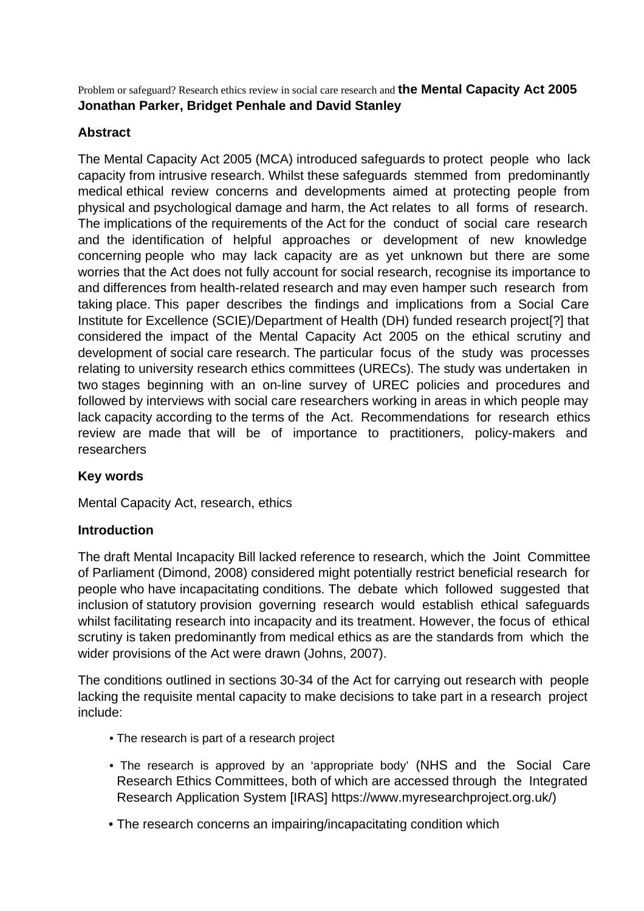Problem or safeguard? Research ethics review in social care research and **the Mental Capacity Act 2005 Jonathan Parker, Bridget Penhale and David Stanley**

# **Abstract**

The Mental Capacity Act 2005 (MCA) introduced safeguards to protect people who lack capacity from intrusive research. Whilst these safeguards stemmed from predominantly medical ethical review concerns and developments aimed at protecting people from physical and psychological damage and harm, the Act relates to all forms of research. The implications of the requirements of the Act for the conduct of social care research and the identification of helpful approaches or development of new knowledge concerning people who may lack capacity are as yet unknown but there are some worries that the Act does not fully account for social research, recognise its importance to and differences from health-related research and may even hamper such research from taking place. This paper describes the findings and implications from a Social Care Institute for Excellence (SCIE)/Department of Health (DH) funded research project[?] that considered the impact of the Mental Capacity Act 2005 on the ethical scrutiny and development of social care research. The particular focus of the study was processes relating to university research ethics committees (URECs). The study was undertaken in two stages beginning with an on-line survey of UREC policies and procedures and followed by interviews with social care researchers working in areas in which people may lack capacity according to the terms of the Act. Recommendations for research ethics review are made that will be of importance to practitioners, policy-makers and researchers

## **Key words**

Mental Capacity Act, research, ethics

#### **Introduction**

The draft Mental Incapacity Bill lacked reference to research, which the Joint Committee of Parliament (Dimond, 2008) considered might potentially restrict beneficial research for people who have incapacitating conditions. The debate which followed suggested that inclusion of statutory provision governing research would establish ethical safeguards whilst facilitating research into incapacity and its treatment. However, the focus of ethical scrutiny is taken predominantly from medical ethics as are the standards from which the wider provisions of the Act were drawn (Johns, 2007).

The conditions outlined in sections 30-34 of the Act for carrying out research with people lacking the requisite mental capacity to make decisions to take part in a research project include:

- The research is part of a research project
- The research is approved by an 'appropriate body' (NHS and the Social Care Research Ethics Committees, both of which are accessed through the Integrated Research Application System [IRAS] https://www.myresearchproject.org.uk/)
- The research concerns an impairing/incapacitating condition which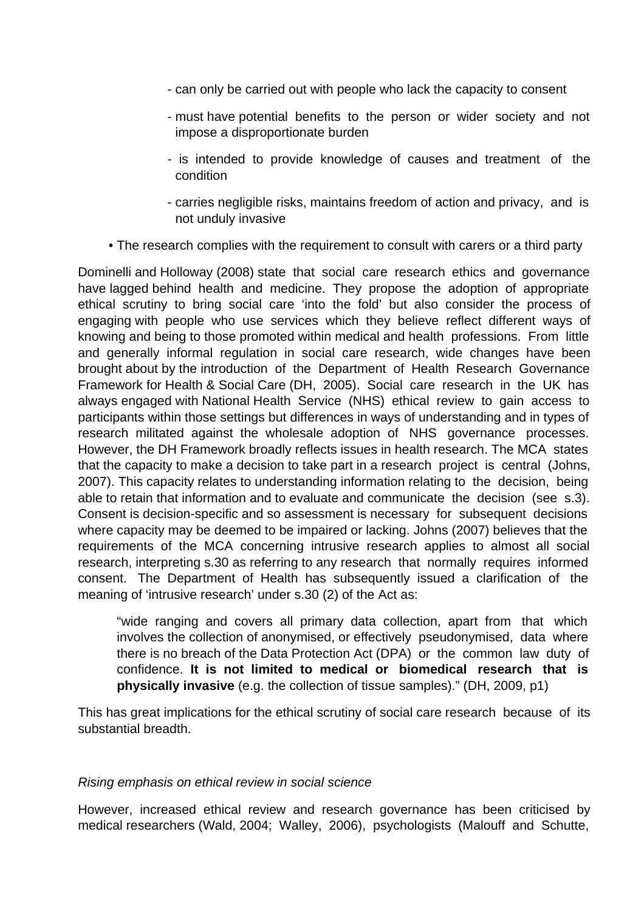- can only be carried out with people who lack the capacity to consent
- must have potential benefits to the person or wider society and not impose a disproportionate burden
- is intended to provide knowledge of causes and treatment of the condition
- carries negligible risks, maintains freedom of action and privacy, and is not unduly invasive
- The research complies with the requirement to consult with carers or a third party

Dominelli and Holloway (2008) state that social care research ethics and governance have lagged behind health and medicine. They propose the adoption of appropriate ethical scrutiny to bring social care 'into the fold' but also consider the process of engaging with people who use services which they believe reflect different ways of knowing and being to those promoted within medical and health professions. From little and generally informal regulation in social care research, wide changes have been brought about by the introduction of the Department of Health Research Governance Framework for Health & Social Care (DH, 2005). Social care research in the UK has always engaged with National Health Service (NHS) ethical review to gain access to participants within those settings but differences in ways of understanding and in types of research militated against the wholesale adoption of NHS governance processes. However, the DH Framework broadly reflects issues in health research. The MCA states that the capacity to make a decision to take part in a research project is central (Johns, 2007). This capacity relates to understanding information relating to the decision, being able to retain that information and to evaluate and communicate the decision (see s.3). Consent is decision-specific and so assessment is necessary for subsequent decisions where capacity may be deemed to be impaired or lacking. Johns (2007) believes that the requirements of the MCA concerning intrusive research applies to almost all social research, interpreting s.30 as referring to any research that normally requires informed consent. The Department of Health has subsequently issued a clarification of the meaning of 'intrusive research' under s.30 (2) of the Act as:

"wide ranging and covers all primary data collection, apart from that which involves the collection of anonymised, or effectively pseudonymised, data where there is no breach of the Data Protection Act (DPA) or the common law duty of confidence. **It is not limited to medical or biomedical research that is physically invasive** (e.g. the collection of tissue samples)." (DH, 2009, p1)

This has great implications for the ethical scrutiny of social care research because of its substantial breadth.

#### Rising emphasis on ethical review in social science

However, increased ethical review and research governance has been criticised by medical researchers (Wald, 2004; Walley, 2006), psychologists (Malouff and Schutte,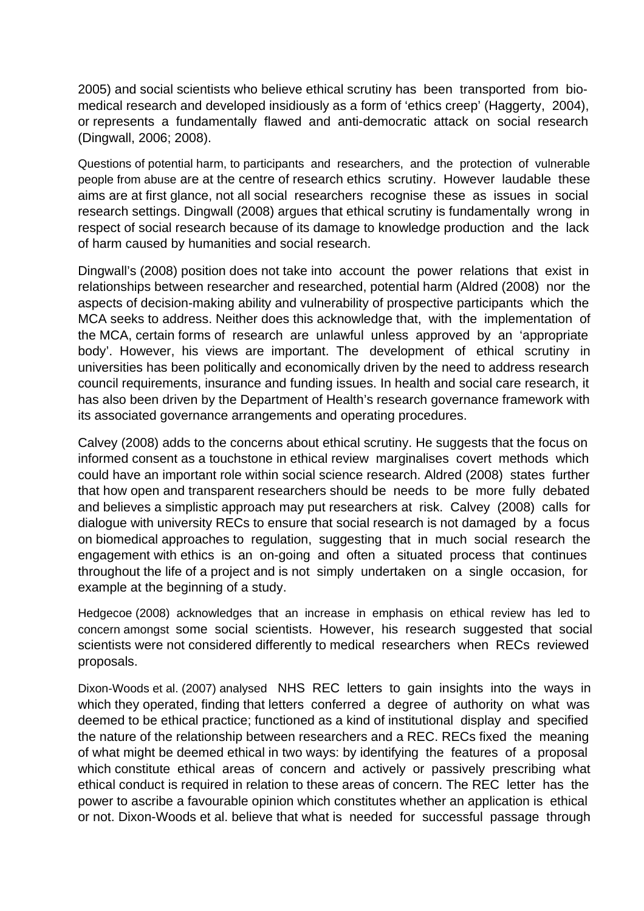2005) and social scientists who believe ethical scrutiny has been transported from biomedical research and developed insidiously as a form of 'ethics creep' (Haggerty, 2004), or represents a fundamentally flawed and anti-democratic attack on social research (Dingwall, 2006; 2008).

Questions of potential harm, to participants and researchers, and the protection of vulnerable people from abuse are at the centre of research ethics scrutiny. However laudable these aims are at first glance, not all social researchers recognise these as issues in social research settings. Dingwall (2008) argues that ethical scrutiny is fundamentally wrong in respect of social research because of its damage to knowledge production and the lack of harm caused by humanities and social research.

Dingwall's (2008) position does not take into account the power relations that exist in relationships between researcher and researched, potential harm (Aldred (2008) nor the aspects of decision-making ability and vulnerability of prospective participants which the MCA seeks to address. Neither does this acknowledge that, with the implementation of the MCA, certain forms of research are unlawful unless approved by an 'appropriate body'. However, his views are important. The development of ethical scrutiny in universities has been politically and economically driven by the need to address research council requirements, insurance and funding issues. In health and social care research, it has also been driven by the Department of Health's research governance framework with its associated governance arrangements and operating procedures.

Calvey (2008) adds to the concerns about ethical scrutiny. He suggests that the focus on informed consent as a touchstone in ethical review marginalises covert methods which could have an important role within social science research. Aldred (2008) states further that how open and transparent researchers should be needs to be more fully debated and believes a simplistic approach may put researchers at risk. Calvey (2008) calls for dialogue with university RECs to ensure that social research is not damaged by a focus on biomedical approaches to regulation, suggesting that in much social research the engagement with ethics is an on-going and often a situated process that continues throughout the life of a project and is not simply undertaken on a single occasion, for example at the beginning of a study.

Hedgecoe (2008) acknowledges that an increase in emphasis on ethical review has led to concern amongst some social scientists. However, his research suggested that social scientists were not considered differently to medical researchers when RECs reviewed proposals.

Dixon-Woods et al. (2007) analysed NHS REC letters to gain insights into the ways in which they operated, finding that letters conferred a degree of authority on what was deemed to be ethical practice; functioned as a kind of institutional display and specified the nature of the relationship between researchers and a REC. RECs fixed the meaning of what might be deemed ethical in two ways: by identifying the features of a proposal which constitute ethical areas of concern and actively or passively prescribing what ethical conduct is required in relation to these areas of concern. The REC letter has the power to ascribe a favourable opinion which constitutes whether an application is ethical or not. Dixon-Woods et al. believe that what is needed for successful passage through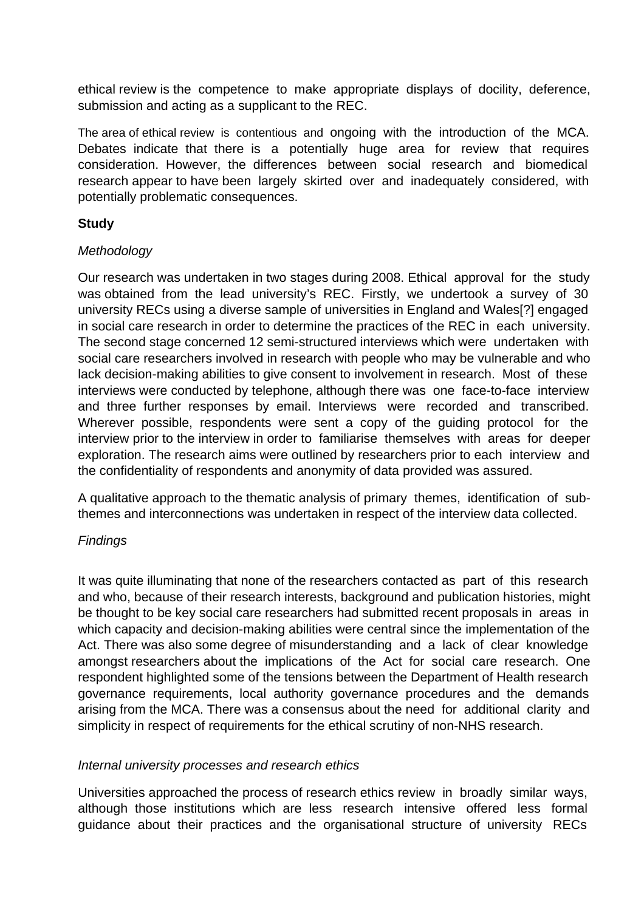ethical review is the competence to make appropriate displays of docility, deference, submission and acting as a supplicant to the REC.

The area of ethical review is contentious and ongoing with the introduction of the MCA. Debates indicate that there is a potentially huge area for review that requires consideration. However, the differences between social research and biomedical research appear to have been largely skirted over and inadequately considered, with potentially problematic consequences.

### **Study**

### Methodology

Our research was undertaken in two stages during 2008. Ethical approval for the study was obtained from the lead university's REC. Firstly, we undertook a survey of 30 university RECs using a diverse sample of universities in England and Wales[?] engaged in social care research in order to determine the practices of the REC in each university. The second stage concerned 12 semi-structured interviews which were undertaken with social care researchers involved in research with people who may be vulnerable and who lack decision-making abilities to give consent to involvement in research. Most of these interviews were conducted by telephone, although there was one face-to-face interview and three further responses by email. Interviews were recorded and transcribed. Wherever possible, respondents were sent a copy of the guiding protocol for the interview prior to the interview in order to familiarise themselves with areas for deeper exploration. The research aims were outlined by researchers prior to each interview and the confidentiality of respondents and anonymity of data provided was assured.

A qualitative approach to the thematic analysis of primary themes, identification of subthemes and interconnections was undertaken in respect of the interview data collected.

## **Findings**

It was quite illuminating that none of the researchers contacted as part of this research and who, because of their research interests, background and publication histories, might be thought to be key social care researchers had submitted recent proposals in areas in which capacity and decision-making abilities were central since the implementation of the Act. There was also some degree of misunderstanding and a lack of clear knowledge amongst researchers about the implications of the Act for social care research. One respondent highlighted some of the tensions between the Department of Health research governance requirements, local authority governance procedures and the demands arising from the MCA. There was a consensus about the need for additional clarity and simplicity in respect of requirements for the ethical scrutiny of non-NHS research.

#### Internal university processes and research ethics

Universities approached the process of research ethics review in broadly similar ways, although those institutions which are less research intensive offered less formal guidance about their practices and the organisational structure of university RECs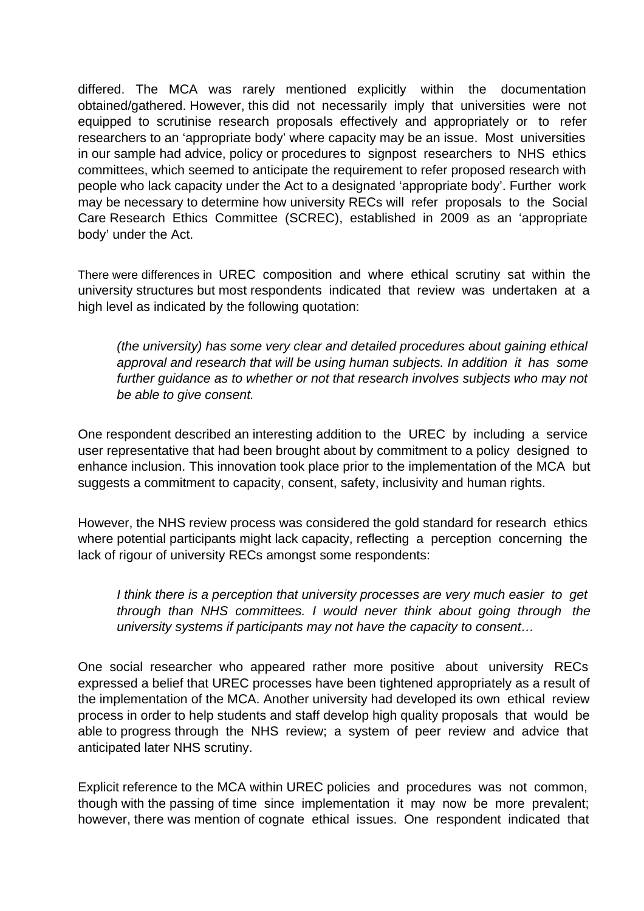differed. The MCA was rarely mentioned explicitly within the documentation obtained/gathered. However, this did not necessarily imply that universities were not equipped to scrutinise research proposals effectively and appropriately or to refer researchers to an 'appropriate body' where capacity may be an issue. Most universities in our sample had advice, policy or procedures to signpost researchers to NHS ethics committees, which seemed to anticipate the requirement to refer proposed research with people who lack capacity under the Act to a designated 'appropriate body'. Further work may be necessary to determine how university RECs will refer proposals to the Social Care Research Ethics Committee (SCREC), established in 2009 as an 'appropriate body' under the Act.

There were differences in UREC composition and where ethical scrutiny sat within the university structures but most respondents indicated that review was undertaken at a high level as indicated by the following quotation:

(the university) has some very clear and detailed procedures about gaining ethical approval and research that will be using human subjects. In addition it has some further guidance as to whether or not that research involves subjects who may not be able to give consent.

One respondent described an interesting addition to the UREC by including a service user representative that had been brought about by commitment to a policy designed to enhance inclusion. This innovation took place prior to the implementation of the MCA but suggests a commitment to capacity, consent, safety, inclusivity and human rights.

However, the NHS review process was considered the gold standard for research ethics where potential participants might lack capacity, reflecting a perception concerning the lack of rigour of university RECs amongst some respondents:

I think there is a perception that university processes are very much easier to get through than NHS committees. I would never think about going through the university systems if participants may not have the capacity to consent…

One social researcher who appeared rather more positive about university RECs expressed a belief that UREC processes have been tightened appropriately as a result of the implementation of the MCA. Another university had developed its own ethical review process in order to help students and staff develop high quality proposals that would be able to progress through the NHS review; a system of peer review and advice that anticipated later NHS scrutiny.

Explicit reference to the MCA within UREC policies and procedures was not common, though with the passing of time since implementation it may now be more prevalent; however, there was mention of cognate ethical issues. One respondent indicated that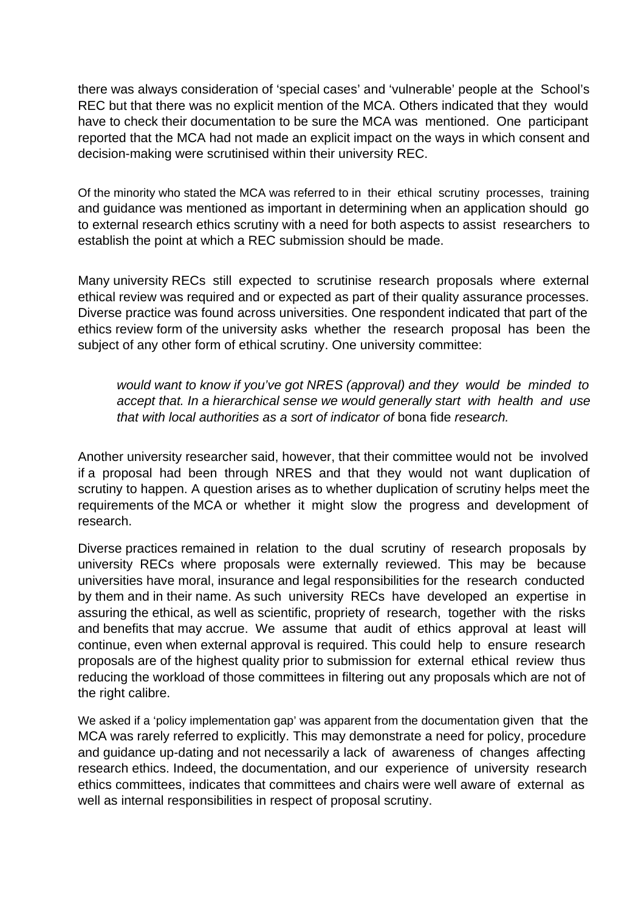there was always consideration of 'special cases' and 'vulnerable' people at the School's REC but that there was no explicit mention of the MCA. Others indicated that they would have to check their documentation to be sure the MCA was mentioned. One participant reported that the MCA had not made an explicit impact on the ways in which consent and decision-making were scrutinised within their university REC.

Of the minority who stated the MCA was referred to in their ethical scrutiny processes, training and guidance was mentioned as important in determining when an application should go to external research ethics scrutiny with a need for both aspects to assist researchers to establish the point at which a REC submission should be made.

Many university RECs still expected to scrutinise research proposals where external ethical review was required and or expected as part of their quality assurance processes. Diverse practice was found across universities. One respondent indicated that part of the ethics review form of the university asks whether the research proposal has been the subject of any other form of ethical scrutiny. One university committee:

would want to know if you've got NRES (approval) and they would be minded to accept that. In a hierarchical sense we would generally start with health and use that with local authorities as a sort of indicator of bona fide research.

Another university researcher said, however, that their committee would not be involved if a proposal had been through NRES and that they would not want duplication of scrutiny to happen. A question arises as to whether duplication of scrutiny helps meet the requirements of the MCA or whether it might slow the progress and development of research.

Diverse practices remained in relation to the dual scrutiny of research proposals by university RECs where proposals were externally reviewed. This may be because universities have moral, insurance and legal responsibilities for the research conducted by them and in their name. As such university RECs have developed an expertise in assuring the ethical, as well as scientific, propriety of research, together with the risks and benefits that may accrue. We assume that audit of ethics approval at least will continue, even when external approval is required. This could help to ensure research proposals are of the highest quality prior to submission for external ethical review thus reducing the workload of those committees in filtering out any proposals which are not of the right calibre.

We asked if a 'policy implementation gap' was apparent from the documentation given that the MCA was rarely referred to explicitly. This may demonstrate a need for policy, procedure and guidance up-dating and not necessarily a lack of awareness of changes affecting research ethics. Indeed, the documentation, and our experience of university research ethics committees, indicates that committees and chairs were well aware of external as well as internal responsibilities in respect of proposal scrutiny.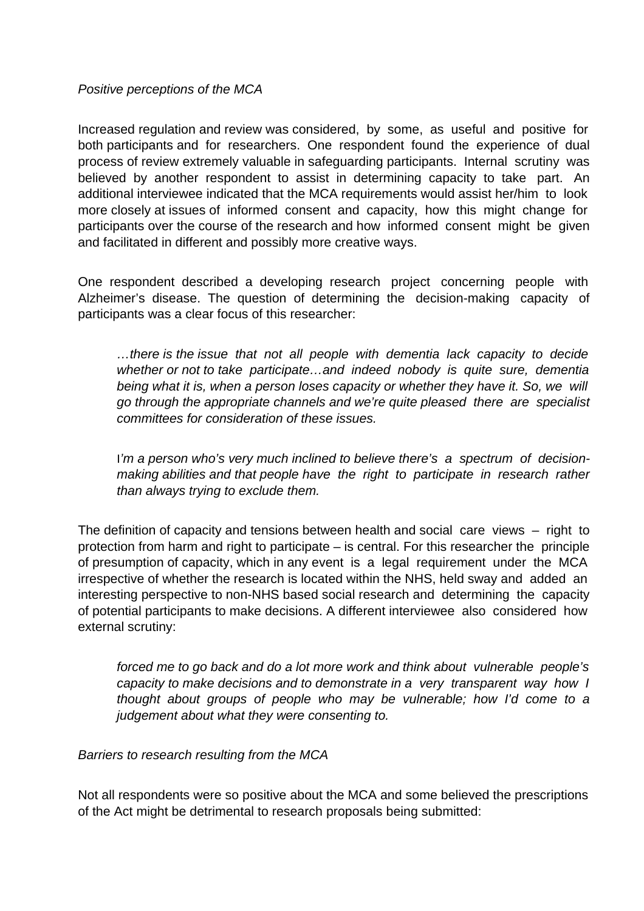#### Positive perceptions of the MCA

Increased regulation and review was considered, by some, as useful and positive for both participants and for researchers. One respondent found the experience of dual process of review extremely valuable in safeguarding participants. Internal scrutiny was believed by another respondent to assist in determining capacity to take part. An additional interviewee indicated that the MCA requirements would assist her/him to look more closely at issues of informed consent and capacity, how this might change for participants over the course of the research and how informed consent might be given and facilitated in different and possibly more creative ways.

One respondent described a developing research project concerning people with Alzheimer's disease. The question of determining the decision-making capacity of participants was a clear focus of this researcher:

…there is the issue that not all people with dementia lack capacity to decide whether or not to take participate…and indeed nobody is quite sure, dementia being what it is, when a person loses capacity or whether they have it. So, we will go through the appropriate channels and we're quite pleased there are specialist committees for consideration of these issues.

I'm a person who's very much inclined to believe there's a spectrum of decisionmaking abilities and that people have the right to participate in research rather than always trying to exclude them.

The definition of capacity and tensions between health and social care views  $-$  right to protection from harm and right to participate – is central. For this researcher the principle of presumption of capacity, which in any event is a legal requirement under the MCA irrespective of whether the research is located within the NHS, held sway and added an interesting perspective to non-NHS based social research and determining the capacity of potential participants to make decisions. A different interviewee also considered how external scrutiny:

forced me to go back and do a lot more work and think about vulnerable people's capacity to make decisions and to demonstrate in a very transparent way how I thought about groups of people who may be vulnerable; how I'd come to a judgement about what they were consenting to.

Barriers to research resulting from the MCA

Not all respondents were so positive about the MCA and some believed the prescriptions of the Act might be detrimental to research proposals being submitted: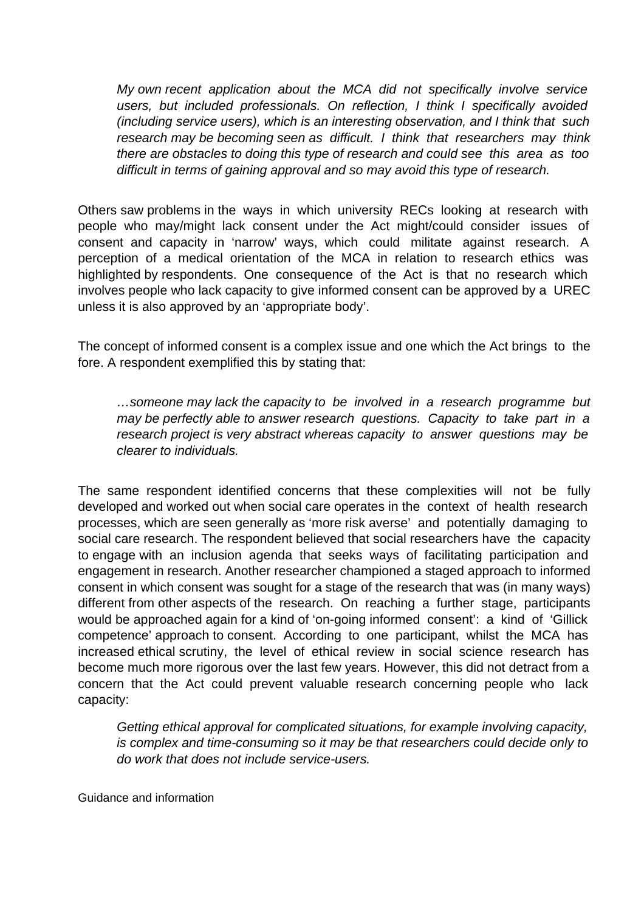My own recent application about the MCA did not specifically involve service users, but included professionals. On reflection, I think I specifically avoided (including service users), which is an interesting observation, and I think that such research may be becoming seen as difficult. I think that researchers may think there are obstacles to doing this type of research and could see this area as too difficult in terms of gaining approval and so may avoid this type of research.

Others saw problems in the ways in which university RECs looking at research with people who may/might lack consent under the Act might/could consider issues of consent and capacity in 'narrow' ways, which could militate against research. A perception of a medical orientation of the MCA in relation to research ethics was highlighted by respondents. One consequence of the Act is that no research which involves people who lack capacity to give informed consent can be approved by a UREC unless it is also approved by an 'appropriate body'.

The concept of informed consent is a complex issue and one which the Act brings to the fore. A respondent exemplified this by stating that:

…someone may lack the capacity to be involved in a research programme but may be perfectly able to answer research questions. Capacity to take part in a research project is very abstract whereas capacity to answer questions may be clearer to individuals.

The same respondent identified concerns that these complexities will not be fully developed and worked out when social care operates in the context of health research processes, which are seen generally as 'more risk averse' and potentially damaging to social care research. The respondent believed that social researchers have the capacity to engage with an inclusion agenda that seeks ways of facilitating participation and engagement in research. Another researcher championed a staged approach to informed consent in which consent was sought for a stage of the research that was (in many ways) different from other aspects of the research. On reaching a further stage, participants would be approached again for a kind of 'on-going informed consent': a kind of 'Gillick competence' approach to consent. According to one participant, whilst the MCA has increased ethical scrutiny, the level of ethical review in social science research has become much more rigorous over the last few years. However, this did not detract from a concern that the Act could prevent valuable research concerning people who lack capacity:

Getting ethical approval for complicated situations, for example involving capacity, is complex and time-consuming so it may be that researchers could decide only to do work that does not include service-users.

Guidance and information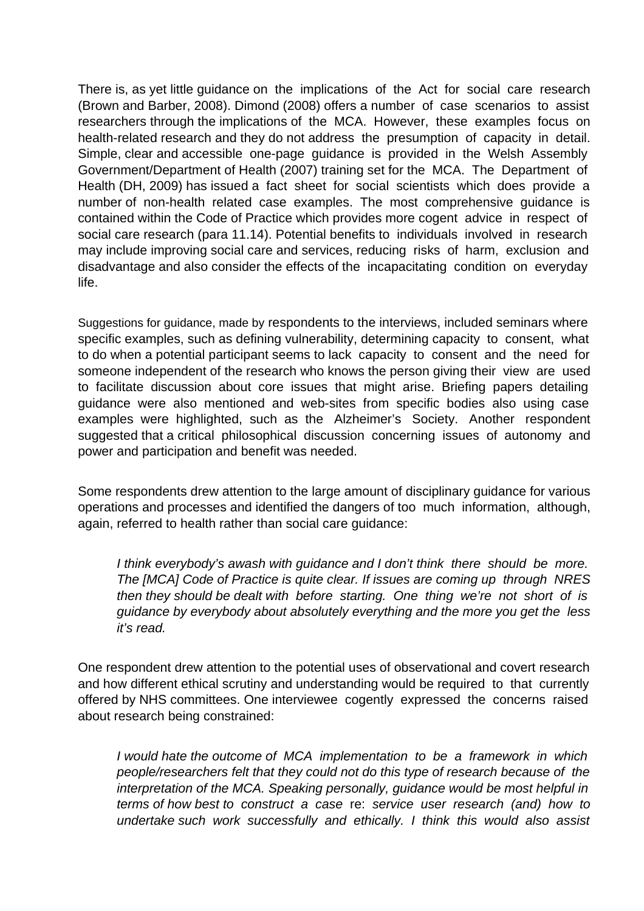There is, as yet little guidance on the implications of the Act for social care research (Brown and Barber, 2008). Dimond (2008) offers a number of case scenarios to assist researchers through the implications of the MCA. However, these examples focus on health-related research and they do not address the presumption of capacity in detail. Simple, clear and accessible one-page guidance is provided in the Welsh Assembly Government/Department of Health (2007) training set for the MCA. The Department of Health (DH, 2009) has issued a fact sheet for social scientists which does provide a number of non-health related case examples. The most comprehensive guidance is contained within the Code of Practice which provides more cogent advice in respect of social care research (para 11.14). Potential benefits to individuals involved in research may include improving social care and services, reducing risks of harm, exclusion and disadvantage and also consider the effects of the incapacitating condition on everyday life.

Suggestions for guidance, made by respondents to the interviews, included seminars where specific examples, such as defining vulnerability, determining capacity to consent, what to do when a potential participant seems to lack capacity to consent and the need for someone independent of the research who knows the person giving their view are used to facilitate discussion about core issues that might arise. Briefing papers detailing guidance were also mentioned and web-sites from specific bodies also using case examples were highlighted, such as the Alzheimer's Society. Another respondent suggested that a critical philosophical discussion concerning issues of autonomy and power and participation and benefit was needed.

Some respondents drew attention to the large amount of disciplinary guidance for various operations and processes and identified the dangers of too much information, although, again, referred to health rather than social care guidance:

I think everybody's awash with guidance and I don't think there should be more. The [MCA] Code of Practice is quite clear. If issues are coming up through NRES then they should be dealt with before starting. One thing we're not short of is guidance by everybody about absolutely everything and the more you get the less it's read.

One respondent drew attention to the potential uses of observational and covert research and how different ethical scrutiny and understanding would be required to that currently offered by NHS committees. One interviewee cogently expressed the concerns raised about research being constrained:

I would hate the outcome of MCA implementation to be a framework in which people/researchers felt that they could not do this type of research because of the interpretation of the MCA. Speaking personally, guidance would be most helpful in terms of how best to construct a case re: service user research (and) how to undertake such work successfully and ethically. I think this would also assist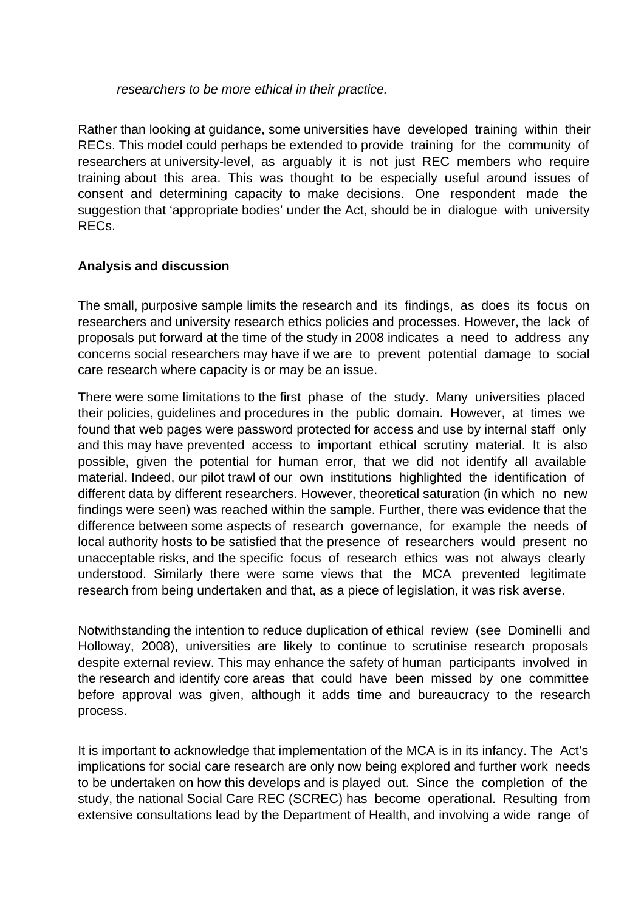#### researchers to be more ethical in their practice.

Rather than looking at guidance, some universities have developed training within their RECs. This model could perhaps be extended to provide training for the community of researchers at university-level, as arguably it is not just REC members who require training about this area. This was thought to be especially useful around issues of consent and determining capacity to make decisions. One respondent made the suggestion that 'appropriate bodies' under the Act, should be in dialogue with university RECs.

## **Analysis and discussion**

The small, purposive sample limits the research and its findings, as does its focus on researchers and university research ethics policies and processes. However, the lack of proposals put forward at the time of the study in 2008 indicates a need to address any concerns social researchers may have if we are to prevent potential damage to social care research where capacity is or may be an issue.

There were some limitations to the first phase of the study. Many universities placed their policies, guidelines and procedures in the public domain. However, at times we found that web pages were password protected for access and use by internal staff only and this may have prevented access to important ethical scrutiny material. It is also possible, given the potential for human error, that we did not identify all available material. Indeed, our pilot trawl of our own institutions highlighted the identification of different data by different researchers. However, theoretical saturation (in which no new findings were seen) was reached within the sample. Further, there was evidence that the difference between some aspects of research governance, for example the needs of local authority hosts to be satisfied that the presence of researchers would present no unacceptable risks, and the specific focus of research ethics was not always clearly understood. Similarly there were some views that the MCA prevented legitimate research from being undertaken and that, as a piece of legislation, it was risk averse.

Notwithstanding the intention to reduce duplication of ethical review (see Dominelli and Holloway, 2008), universities are likely to continue to scrutinise research proposals despite external review. This may enhance the safety of human participants involved in the research and identify core areas that could have been missed by one committee before approval was given, although it adds time and bureaucracy to the research process.

It is important to acknowledge that implementation of the MCA is in its infancy. The Act's implications for social care research are only now being explored and further work needs to be undertaken on how this develops and is played out. Since the completion of the study, the national Social Care REC (SCREC) has become operational. Resulting from extensive consultations lead by the Department of Health, and involving a wide range of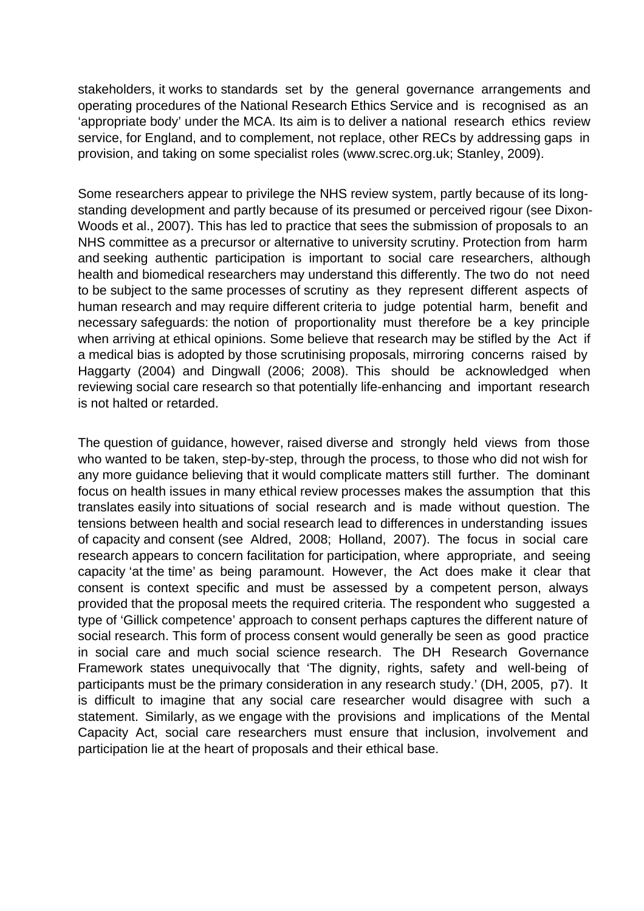stakeholders, it works to standards set by the general governance arrangements and operating procedures of the National Research Ethics Service and is recognised as an 'appropriate body' under the MCA. Its aim is to deliver a national research ethics review service, for England, and to complement, not replace, other RECs by addressing gaps in provision, and taking on some specialist roles (www.screc.org.uk; Stanley, 2009).

Some researchers appear to privilege the NHS review system, partly because of its longstanding development and partly because of its presumed or perceived rigour (see Dixon-Woods et al., 2007). This has led to practice that sees the submission of proposals to an NHS committee as a precursor or alternative to university scrutiny. Protection from harm and seeking authentic participation is important to social care researchers, although health and biomedical researchers may understand this differently. The two do not need to be subject to the same processes of scrutiny as they represent different aspects of human research and may require different criteria to judge potential harm, benefit and necessary safeguards: the notion of proportionality must therefore be a key principle when arriving at ethical opinions. Some believe that research may be stifled by the Act if a medical bias is adopted by those scrutinising proposals, mirroring concerns raised by Haggarty (2004) and Dingwall (2006; 2008). This should be acknowledged when reviewing social care research so that potentially life-enhancing and important research is not halted or retarded.

The question of guidance, however, raised diverse and strongly held views from those who wanted to be taken, step-by-step, through the process, to those who did not wish for any more guidance believing that it would complicate matters still further. The dominant focus on health issues in many ethical review processes makes the assumption that this translates easily into situations of social research and is made without question. The tensions between health and social research lead to differences in understanding issues of capacity and consent (see Aldred, 2008; Holland, 2007). The focus in social care research appears to concern facilitation for participation, where appropriate, and seeing capacity 'at the time' as being paramount. However, the Act does make it clear that consent is context specific and must be assessed by a competent person, always provided that the proposal meets the required criteria. The respondent who suggested a type of 'Gillick competence' approach to consent perhaps captures the different nature of social research. This form of process consent would generally be seen as good practice in social care and much social science research. The DH Research Governance Framework states unequivocally that 'The dignity, rights, safety and well-being of participants must be the primary consideration in any research study.' (DH, 2005, p7). It is difficult to imagine that any social care researcher would disagree with such a statement. Similarly, as we engage with the provisions and implications of the Mental Capacity Act, social care researchers must ensure that inclusion, involvement and participation lie at the heart of proposals and their ethical base.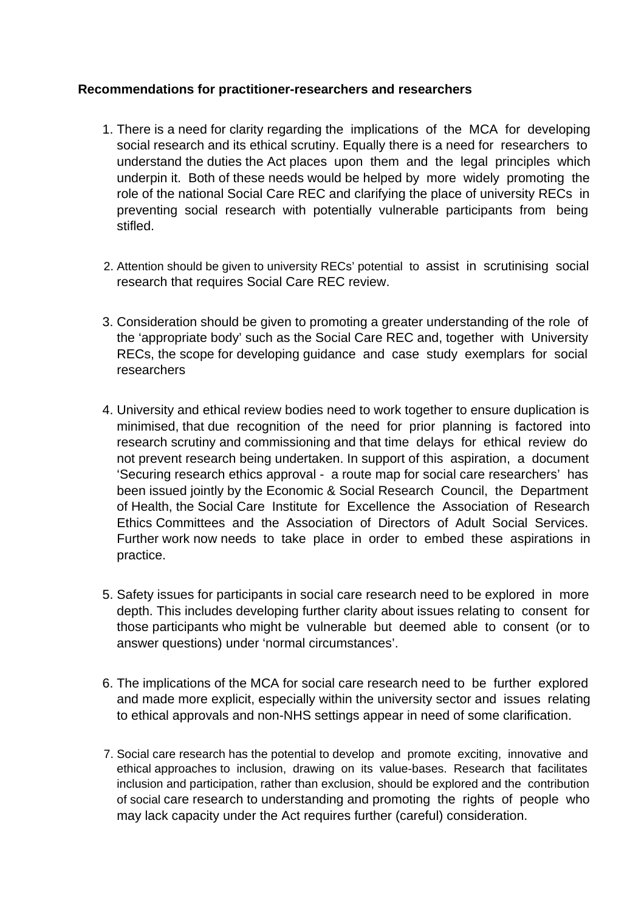### **Recommendations for practitioner-researchers and researchers**

- 1. There is a need for clarity regarding the implications of the MCA for developing social research and its ethical scrutiny. Equally there is a need for researchers to understand the duties the Act places upon them and the legal principles which underpin it. Both of these needs would be helped by more widely promoting the role of the national Social Care REC and clarifying the place of university RECs in preventing social research with potentially vulnerable participants from being stifled.
- 2. Attention should be given to university RECs' potential to assist in scrutinising social research that requires Social Care REC review.
- 3. Consideration should be given to promoting a greater understanding of the role of the 'appropriate body' such as the Social Care REC and, together with University RECs, the scope for developing guidance and case study exemplars for social researchers
- 4. University and ethical review bodies need to work together to ensure duplication is minimised, that due recognition of the need for prior planning is factored into research scrutiny and commissioning and that time delays for ethical review do not prevent research being undertaken. In support of this aspiration, a document 'Securing research ethics approval - a route map for social care researchers' has been issued jointly by the Economic & Social Research Council, the Department of Health, the Social Care Institute for Excellence the Association of Research Ethics Committees and the Association of Directors of Adult Social Services. Further work now needs to take place in order to embed these aspirations in practice.
- 5. Safety issues for participants in social care research need to be explored in more depth. This includes developing further clarity about issues relating to consent for those participants who might be vulnerable but deemed able to consent (or to answer questions) under 'normal circumstances'.
- 6. The implications of the MCA for social care research need to be further explored and made more explicit, especially within the university sector and issues relating to ethical approvals and non-NHS settings appear in need of some clarification.
- 7. Social care research has the potential to develop and promote exciting, innovative and ethical approaches to inclusion, drawing on its value-bases. Research that facilitates inclusion and participation, rather than exclusion, should be explored and the contribution of social care research to understanding and promoting the rights of people who may lack capacity under the Act requires further (careful) consideration.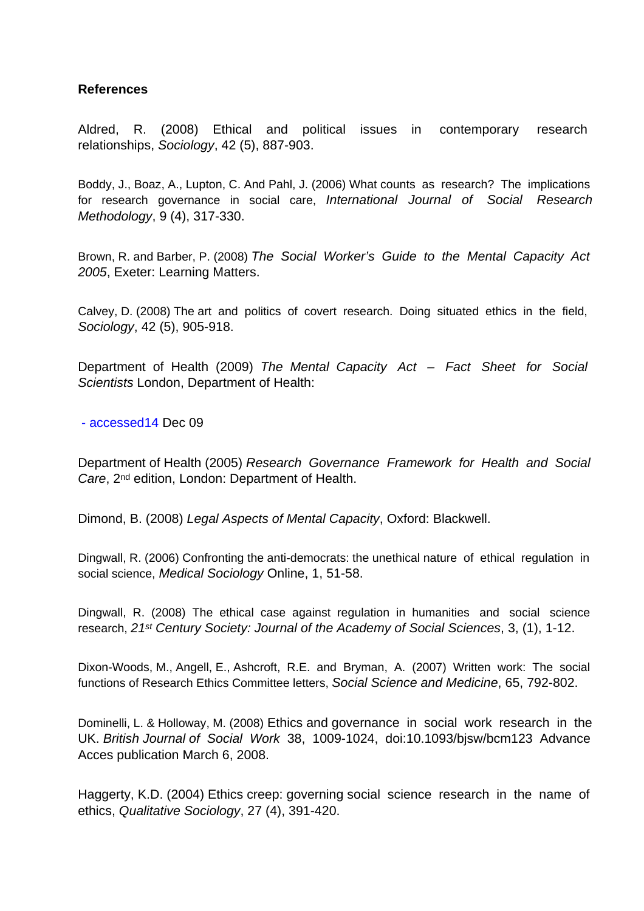#### **References**

Aldred, R. (2008) Ethical and political issues in contemporary research relationships, Sociology, 42 (5), 887-903.

Boddy, J., Boaz, A., Lupton, C. And Pahl, J. (2006) What counts as research? The implications for research governance in social care, International Journal of Social Research Methodology, 9 (4), 317-330.

Brown, R. and Barber, P. (2008) The Social Worker's Guide to the Mental Capacity Act 2005, Exeter: Learning Matters.

Calvey, D. (2008) The art and politics of covert research. Doing situated ethics in the field, Sociology, 42 (5), 905-918.

Department of Health (2009) The Mental Capacity Act – Fact Sheet for Social Scientists London, Department of Health:

- accessed14 Dec 09

Department of Health (2005) Research Governance Framework for Health and Social Care, 2nd edition, London: Department of Health.

Dimond, B. (2008) Legal Aspects of Mental Capacity, Oxford: Blackwell.

Dingwall, R. (2006) Confronting the anti-democrats: the unethical nature of ethical regulation in social science, Medical Sociology Online, 1, 51-58.

Dingwall, R. (2008) The ethical case against regulation in humanities and social science research, 21<sup>st</sup> Century Society: Journal of the Academy of Social Sciences, 3, (1), 1-12.

Dixon-Woods, M., Angell, E., Ashcroft, R.E. and Bryman, A. (2007) Written work: The social functions of Research Ethics Committee letters, Social Science and Medicine, 65, 792-802.

Dominelli, L. & Holloway, M. (2008) Ethics and governance in social work research in the UK. British Journal of Social Work 38, 1009-1024, doi:10.1093/bjsw/bcm123 Advance Acces publication March 6, 2008.

Haggerty, K.D. (2004) Ethics creep: governing social science research in the name of ethics, Qualitative Sociology, 27 (4), 391-420.